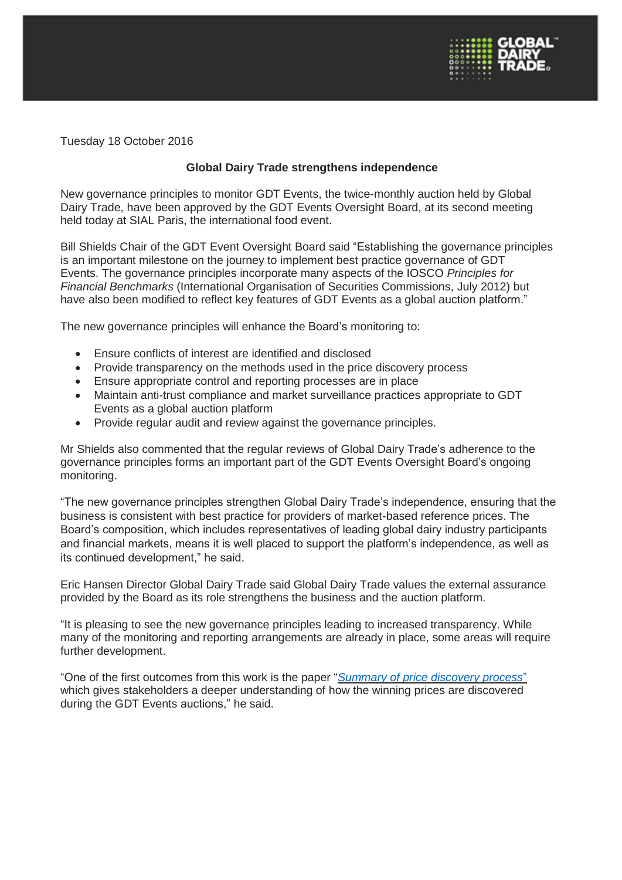

Tuesday 18 October 2016

## **Global Dairy Trade strengthens independence**

New governance principles to monitor GDT Events, the twice-monthly auction held by Global Dairy Trade, have been approved by the GDT Events Oversight Board, at its second meeting held today at SIAL Paris, the international food event.

Bill Shields Chair of the GDT Event Oversight Board said "Establishing the governance principles is an important milestone on the journey to implement best practice governance of GDT Events. The governance principles incorporate many aspects of the IOSCO *Principles for Financial Benchmarks* (International Organisation of Securities Commissions, July 2012) but have also been modified to reflect key features of GDT Events as a global auction platform."

The new governance principles will enhance the Board's monitoring to:

- Ensure conflicts of interest are identified and disclosed
- Provide transparency on the methods used in the price discovery process
- Ensure appropriate control and reporting processes are in place
- Maintain anti-trust compliance and market surveillance practices appropriate to GDT Events as a global auction platform
- Provide regular audit and review against the governance principles.

Mr Shields also commented that the regular reviews of Global Dairy Trade's adherence to the governance principles forms an important part of the GDT Events Oversight Board's ongoing monitoring.

"The new governance principles strengthen Global Dairy Trade's independence, ensuring that the business is consistent with best practice for providers of market-based reference prices. The Board's composition, which includes representatives of leading global dairy industry participants and financial markets, means it is well placed to support the platform's independence, as well as its continued development," he said.

Eric Hansen Director Global Dairy Trade said Global Dairy Trade values the external assurance provided by the Board as its role strengthens the business and the auction platform.

"It is pleasing to see the new governance principles leading to increased transparency. While many of the monitoring and reporting arrangements are already in place, some areas will require further development.

"One of the first outcomes from this work is the paper "*[Summary](http://www.globaldairytrade.info/assets/Uploads/resources/GDT-Summary-of-Price-Discovery-Process-Oct-16.pdf) of price discovery process*" which gives stakeholders a deeper understanding of how the winning prices are discovered during the GDT Events auctions," he said.